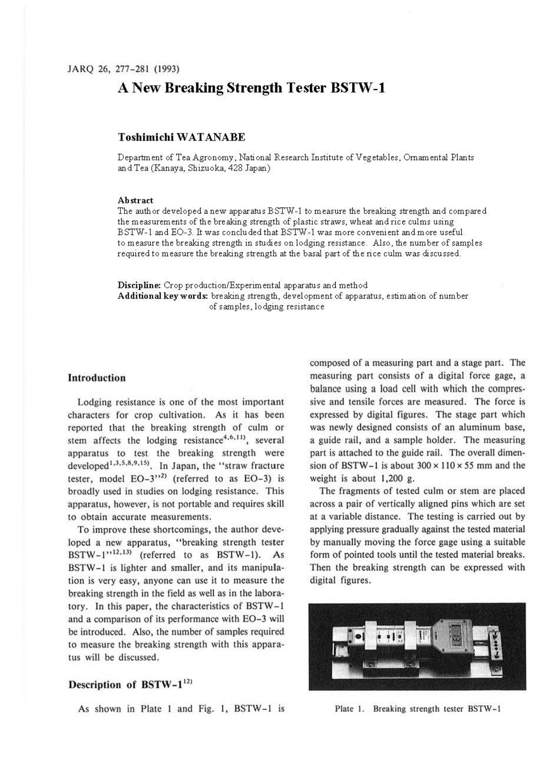# **A New Breaking Strength Tester BSTW-1**

## **Toshimichi WATANABE**

Department of Tea Agronomy, National Research Institute of Vegetables, Ornamental Plants and Tea (Kanaya, Shizuoka, 428 Japan)

#### **Abstract**

The author developed anew apparatus BSTW-1 to measure the breaking strength and compared the measurements of the breaking strength of plastic straws, wheat and rice culms using BSTW-1 and E0-3. It was concluded that BSTW-1 was more convenient and more useful to measure the breaking strength in studies on lodging resistance. Also, the number of samples required to measure the breaking strength at the basal part of the rice culm was discussed.

**Discipline:** Crop production/Experimental apparatus and method **Additional key words:** breaking strength, development of apparatus, e stim ati on of number of samples, lodging resistance

#### **Introduction**

Lodging resistance is one of the most important characters for crop cultivation. As it has been reported that the breaking strength of culm or stem affects the lodging resistance<sup>4,6,11</sup>, several apparatus to test the breaking strength were developed<sup>1,3,5,8,9,15</sup>). In Japan, the "straw fracture tester, model  $EO-3$ <sup>32</sup> (referred to as  $EO-3$ ) is broadly used in studies on lodging resistance. This apparatus, however, is not portable and requires skill to obtain accurate measurements.

To improve these shortcomings, the author developed a new apparatus, "breaking strength tester  $BSTW-1$ <sup>12,13</sup> (referred to as  $BSTW-1$ ). As BSTW-1 is lighter and smaller, and its manipulation is very easy, anyone can use it to measure the breaking strength in the field as well as in the laboratory. In this paper, the characteristics of BSTW-1 and a comparison of its performance with EO-3 will be introduced. Also, the number of samples required to measure the breaking strength with this apparatus will be discussed.

# Description of BSTW-1<sup>12)</sup>

As shown in Plate I and Fig. I, BSTW-1 is

composed of a measuring part and a stage part. The measuring part consists of a digital force gage, a balance using a load cell with which the compressive and tensile forces are measured. The force is expressed by digital figures. The stage part which was newly designed consists of an aluminum base, a guide rail, and a sample holder. The measuring part is attached to the guide rail. The overall dimension of BSTW-1 is about  $300 \times 110 \times 55$  mm and the weight is about 1,200 g.

The fragments of tested culm or stem are placed across a pair of vertically aligned pins which are set at a variable distance. The testing is carried out by applying pressure gradually against the tested material by manually moving the force gage using a suitable form of pointed tools until the tested material breaks. Then the breaking strength can be expressed with digital figures.



Plate 1. Breaking strength tester BSTW-1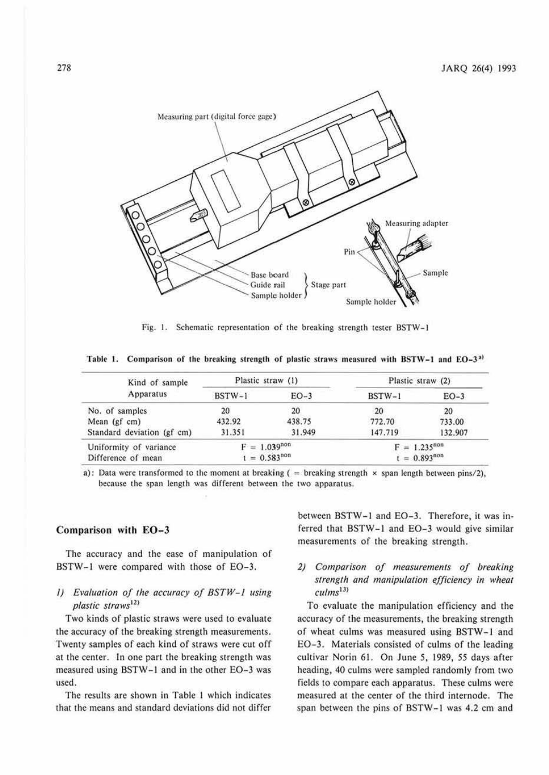

Fig. 1. Schematic representation of the breaking strength tester BSTW-1

Table 1. Comparison of the breaking strength of plastic straws measured with BSTW-1 and EO-3<sup>a)</sup>

| Kind of sample             | Plastic straw (1) |        | Plastic straw (2) |                   |
|----------------------------|-------------------|--------|-------------------|-------------------|
| Apparatus                  | $BSTW-1$          | $EO-3$ | BSTW-1            | $EO-3$            |
| No. of samples             | 20                | 20     | 20                | 20                |
| Mean (gf cm)               | 432.92            | 438.75 | 772.70            | 733.00            |
| Standard deviation (gf cm) | 31.351            | 31.949 | 147.719           | 132.907           |
| Uniformity of variance     | $F = 1.039^{non}$ |        |                   | $F = 1.235^{non}$ |
| Difference of mean         | $t = 0.583^{non}$ |        | $t = 0.893^{non}$ |                   |

a): Data were transformed to the moment at breaking  $($  = breaking strength  $\times$  span length between pins/2), because the span length was different between the two apparatus.

## **Comparison with E0-3**

The accuracy and the ease of manipulation of BSTW-1 were compared with those of E0-3.

## *I)* Evaluation of the accuracy of BSTW-1 using *plastic straws<sup>12</sup>*<sup>&</sup>gt;

Two kinds of plastic straws were used to evaluate the accuracy of the breaking strength measurements. Twenty samples of each kind of straws were cut off at the center. In one part the breaking strength was measured using BSTW-J and in the other E0-3 was used.

The results are shown in Table I which indicates that the means and standard deviations did not differ between BSTW-1 and E0-3. Therefore, it was inferred that BSTW-1 and EO-3 would give similar measurements of the breaking strength.

# *2) Comparison of measurements of breaking strength and manipulation efficiency in wheal*   $\textit{culms}^{13)}$

To evaluate the manipulation efficiency and the accuracy of the measurements, the breaking strength of wheat culms was measured using BSTW-1 and EO-3. Materials consisted of culms of the leading cultivar Norin 61. On June 5, 1989, *55* days after heading, 40 culms were sampled randomly from two fields 10 compare each apparatus. These culms were measured at the center of the third intemode. The span between the pins of BSTW-1 was 4.2 cm and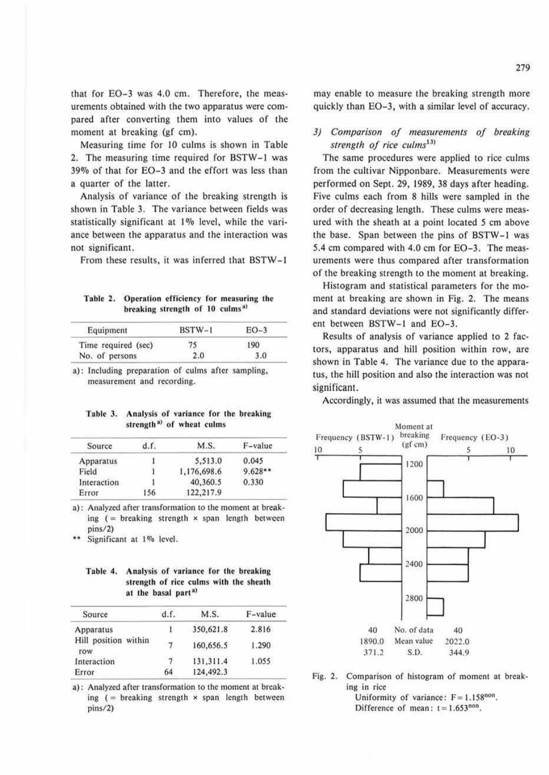that for EO-3 was 4.0 cm. Therefore, the measurements obtained with the two apparatus were compared after converting them into values of the moment at breaking (gf cm).

Measuring time for IO culms is shown in Table 2. The measuring time required for BSTW-J was 39% of that for E0-3 and the effort was less than a quarter of the latter.

Analysis of variance of the breaking strength is shown in Table 3. The variance between fields was statistically significant at 1% level, while the variance between the apparatus and the interaction was not significant.

From these results. it was inferred that BSTW-1

Table 2. Operation efficiency for measuring the breaking strength of 10 culms<sup>a)</sup>

| Equipment           | $BSTW-1$ | $EO-3$ |
|---------------------|----------|--------|
| Time required (sec) | 75       | 190    |
| No. of persons      | 2.0      | 3.0    |
|                     |          |        |

a): Including preparation of culms after sampling, measurement and recording.

Table 3. Analysis of variance for the breaking strength<sup>a)</sup> of wheat culms

| Source      | d.f. | M.S.        | F-value   |
|-------------|------|-------------|-----------|
| Apparatus   |      | 5.513.0     | 0.045     |
| Field       |      | 1,176,698.6 | $9.628**$ |
| Interaction |      | 40,360.5    | 0.330     |
| Error       | 156  | 122,217.9   |           |

a): Analyzed after transformation to the moment at breaking  $($  = breaking strength  $\times$  span length between pins/2)

Significant at 1% level.

#### Table 4. Analysis of variance for the breaking strength of rice culms with the sheath at the basal part<sup>a)</sup>

| Source                      | d.f. | M.S.      | F-value |
|-----------------------------|------|-----------|---------|
| Apparatus                   |      | 350,621.8 | 2.816   |
| Hill position within<br>row | 7    | 160,656.5 | 1.290   |
| Interaction                 | 7    | 131.311.4 | 1.055   |
| Error                       | 64   | 124,492.3 |         |

a): Analyzed after transformation to the moment at breaking  $($  = breaking strength  $\times$  span length between pins/2)

may enable to measure the breaking strength more quickly than E0-3, with a similar level of accuracy.

# *3) Comparison of measurements of breaking*  strength of rice culms<sup>13)</sup>

The same procedures were applied to rice culms from the cultivar Nipponbare. Measurements were performed on Sept. 29, 1989, 38 days after heading. Five culms each from 8 hills were sampled in the order of decreasing length. These culms were measured with the sheath at a point located *5* cm above the base. Span between the pins of BSTW-1 was 5.4 cm compared with 4.0 cm for EO-3. The measurements were thus compared after transformation of the breaking strength to the moment at breaking.

Histogram and statistical parameters for the moment at breaking are shown in Fig. 2. The means and standard deviations were not significantly different between BSTW-1 and E0-3.

Results of analysis of variance applied to 2 factors, apparatus and hill position within row, are shown in Table 4. The variance due to the apparatus, the hill position and alse the interaction was not significant.

Accordingly, it was assumed that the measurements



Fig. 2. Comparison of histogram of moment at breaking in rice Uniformity of variance:  $F = 1.158^{non}$ .

Difference of mean:  $t = 1.653^{non}$ .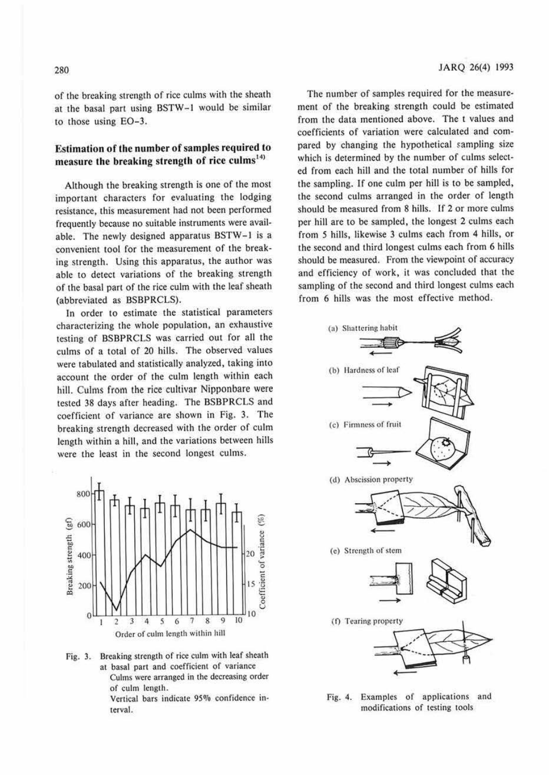of the breaking strength of rice culms with the sheath at the basal part using BSTW-1 would be similar to those using E0-3.

# **Estimation of the number of samples required to**  measure the breaking strength of rice culms<sup>14)</sup>

Although the breaking strength is one of the most important characters for evaluating the lodging resistance, this measurement had not been performed frequently because no suitable instruments were available. The newly designed apparatus BSTW-1 is a convenient tool for the measurement of the breaking strength. Using this apparatus, the author was able to detect variations of the breaking strength of the basal part of the rice culm with the leaf sheath (abbreviated as BSBPRCLS).

In order to estimate the statistical parameters characterizing the whole population, an exhaustive testing of BSBPRCLS was carried out for all the culms of a total of 20 hills. The observed values were tabulated and statistically analyzed, taking into account the order of the culm length within each hill. Culms from the rice cultivar Nipponbare were tested 38 days after heading. The BSBPRCLS and coefficient of variance are shown in Fig. 3. The breaking strength decreased with the order of culm length within a hill, and the variations between hills were the least in the second longest culms.



Fig. 3. Breaking strength of rice culm with leaf sheath at basal part and coefficient of variance Culms were arranged in the decreasing order

of culm length.

Vertical bars indicate 95% confidence interval.

The number of samples required for the measurement of the breaking strength could be estimated from the data mentioned above. The t values and coefficients of variation were calculated and compared by changing the hypothetical sampling size which is determined by the number of culms selected from each hill and the total number of hills for the sampling. Ir one culm per hill is to be sampled, the second culms arranged in the order of length should be measured from 8 hills. If 2 or more culms per hill are to be sampled, the longest 2 culms each from *5* hills, likewise 3 culms each from 4 hills, or the second and third longest culms each from 6 hills should be measured. From the viewpoint of accuracy and efficiency of work, it was concluded that the sampling of the second and third longest culms each from 6 hills was the most effective method.



fig. 4. Examples of applications and modifications of testing tools